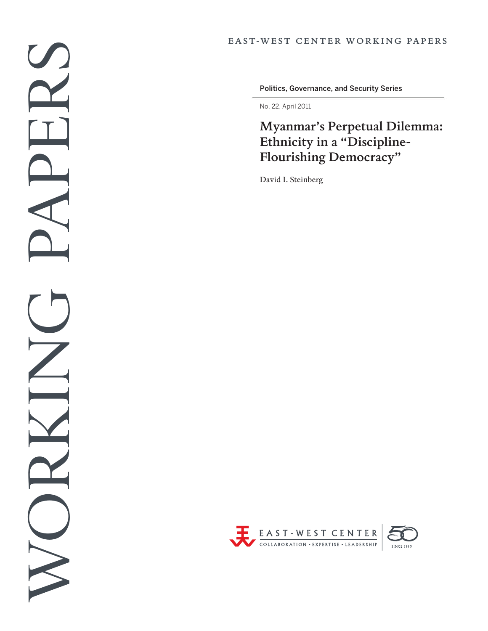Politics, Governance, and Security Series

No. 22, April 2011

# **Myanmar's Perpetual Dilemma: Ethnicity in a "Discipline-Flourishing Democracy"**

David I. Steinberg

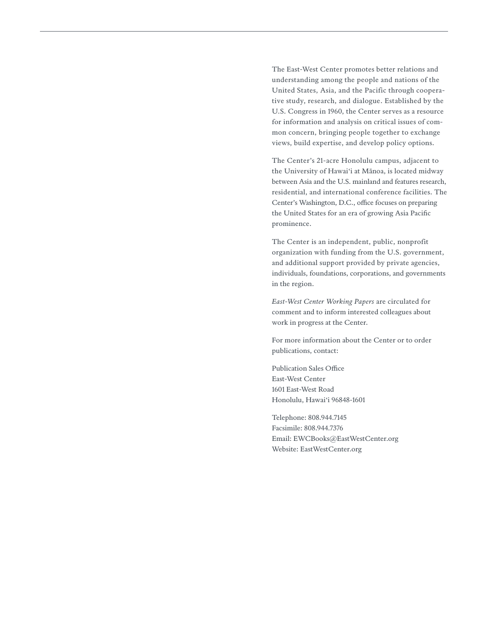The East-West Center promotes better relations and understanding among the people and nations of the United States, Asia, and the Pacific through cooperative study, research, and dialogue. Established by the U.S. Congress in 1960, the Center serves as a resource for information and analysis on critical issues of common concern, bringing people together to exchange views, build expertise, and develop policy options.

The Center's 21-acre Honolulu campus, adjacent to the University of Hawai'i at Mānoa, is located midway between Asia and the U.S. mainland and features research, residential, and international conference facilities. The Center's Washington, D.C., office focuses on preparing the United States for an era of growing Asia Pacific prominence.

The Center is an independent, public, nonprofit organization with funding from the U.S. government, and additional support provided by private agencies, individuals, foundations, corporations, and governments in the region.

*East-West Center Working Papers* are circulated for comment and to inform interested colleagues about work in progress at the Center.

For more information about the Center or to order publications, contact:

Publication Sales Office East-West Center 1601 East-West Road Honolulu, Hawai'i 96848-1601

Telephone: 808.944.7145 Facsimile: 808.944.7376 Email: ewcBooks@EastWestCenter.org Website: EastWestCenter.org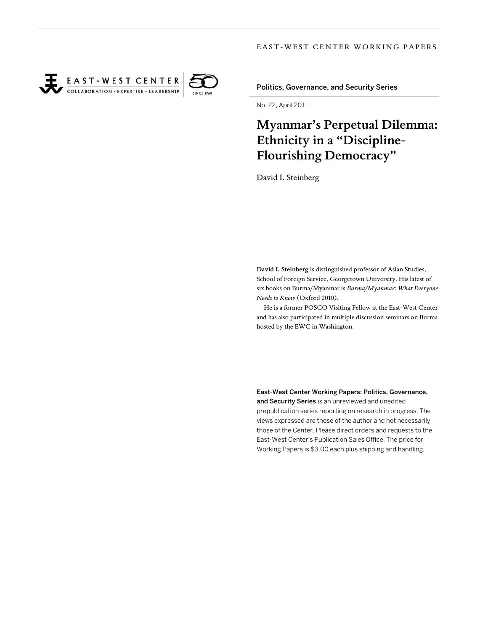



Politics, Governance, and Security Series

No. 22, April 2011

## **Myanmar's Perpetual Dilemma: Ethnicity in a "Discipline-Flourishing Democracy"**

David I. Steinberg

**David I. Steinberg** is distinguished professor of Asian Studies, School of Foreign Service, Georgetown University. His latest of six books on Burma/Myanmar is *Burma/Myanmar: What Everyone Needs to Know* (Oxford 2010).

He is a former POSCO Visiting Fellow at the East-West Center and has also participated in multiple discussion seminars on Burma hosted by the EWC in Washington.

East-West Center Working Papers: Politics, Governance,

and Security Series is an unreviewed and unedited prepublication series reporting on research in progress. The views expressed are those of the author and not necessarily those of the Center. Please direct orders and requests to the East-West Center's Publication Sales Office. The price for Working Papers is \$3.00 each plus shipping and handling.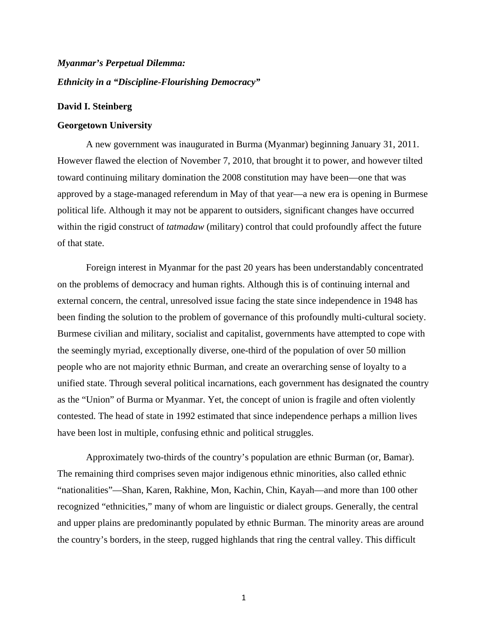### *Myanmar's Perpetual Dilemma: Ethnicity in a "Discipline-Flourishing Democracy"*

#### **David I. Steinberg**

#### **Georgetown University**

A new government was inaugurated in Burma (Myanmar) beginning January 31, 2011. However flawed the election of November 7, 2010, that brought it to power, and however tilted toward continuing military domination the 2008 constitution may have been—one that was approved by a stage-managed referendum in May of that year—a new era is opening in Burmese political life. Although it may not be apparent to outsiders*,* significant changes have occurred within the rigid construct of *tatmadaw* (military) control that could profoundly affect the future of that state.

Foreign interest in Myanmar for the past 20 years has been understandably concentrated on the problems of democracy and human rights. Although this is of continuing internal and external concern, the central, unresolved issue facing the state since independence in 1948 has been finding the solution to the problem of governance of this profoundly multi-cultural society. Burmese civilian and military, socialist and capitalist, governments have attempted to cope with the seemingly myriad, exceptionally diverse, one-third of the population of over 50 million people who are not majority ethnic Burman, and create an overarching sense of loyalty to a unified state. Through several political incarnations, each government has designated the country as the "Union" of Burma or Myanmar. Yet, the concept of union is fragile and often violently contested. The head of state in 1992 estimated that since independence perhaps a million lives have been lost in multiple, confusing ethnic and political struggles.

Approximately two-thirds of the country's population are ethnic Burman (or, Bamar). The remaining third comprises seven major indigenous ethnic minorities, also called ethnic "nationalities"—Shan, Karen, Rakhine, Mon, Kachin, Chin, Kayah—and more than 100 other recognized "ethnicities," many of whom are linguistic or dialect groups. Generally, the central and upper plains are predominantly populated by ethnic Burman. The minority areas are around the country's borders, in the steep, rugged highlands that ring the central valley. This difficult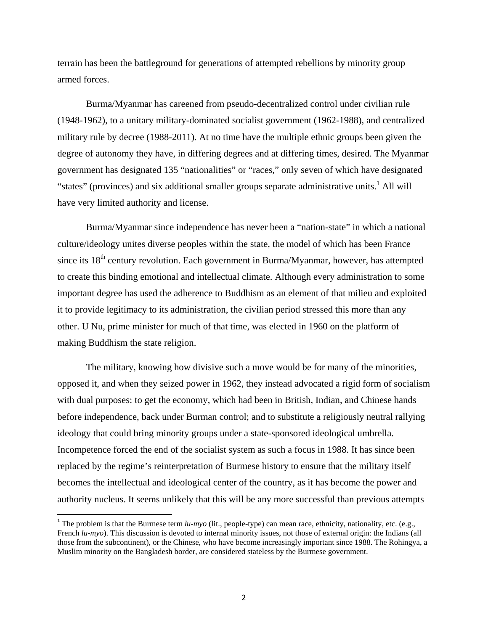terrain has been the battleground for generations of attempted rebellions by minority group armed forces.

Burma/Myanmar has careened from pseudo-decentralized control under civilian rule (1948-1962), to a unitary military-dominated socialist government (1962-1988), and centralized military rule by decree (1988-2011). At no time have the multiple ethnic groups been given the degree of autonomy they have, in differing degrees and at differing times, desired. The Myanmar government has designated 135 "nationalities" or "races," only seven of which have designated "states" (provinces) and six additional smaller groups separate administrative units.<sup>1</sup> All will have very limited authority and license.

Burma/Myanmar since independence has never been a "nation-state" in which a national culture/ideology unites diverse peoples within the state, the model of which has been France since its  $18<sup>th</sup>$  century revolution. Each government in Burma/Myanmar, however, has attempted to create this binding emotional and intellectual climate. Although every administration to some important degree has used the adherence to Buddhism as an element of that milieu and exploited it to provide legitimacy to its administration, the civilian period stressed this more than any other. U Nu, prime minister for much of that time, was elected in 1960 on the platform of making Buddhism the state religion.

The military, knowing how divisive such a move would be for many of the minorities, opposed it, and when they seized power in 1962, they instead advocated a rigid form of socialism with dual purposes: to get the economy, which had been in British, Indian, and Chinese hands before independence, back under Burman control; and to substitute a religiously neutral rallying ideology that could bring minority groups under a state-sponsored ideological umbrella. Incompetence forced the end of the socialist system as such a focus in 1988. It has since been replaced by the regime's reinterpretation of Burmese history to ensure that the military itself becomes the intellectual and ideological center of the country, as it has become the power and authority nucleus. It seems unlikely that this will be any more successful than previous attempts

<sup>&</sup>lt;sup>1</sup> The problem is that the Burmese term  $lu\text{-}myo$  (lit., people-type) can mean race, ethnicity, nationality, etc. (e.g., French  $lu\text{-}myo$ ). This discussion is devoted to internal minority issues, not those of external origin: the Indians (all those from the subcontinent), or the Chinese, who have become increasingly important since 1988. The Rohingya, a Muslim minority on the Bangladesh border, are considered stateless by the Burmese government.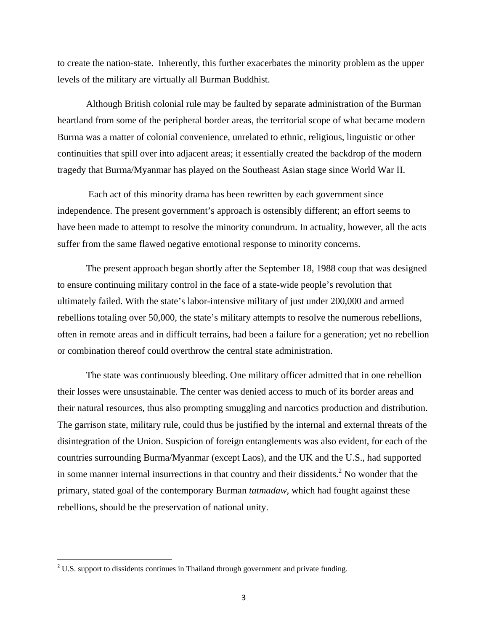to create the nation-state. Inherently, this further exacerbates the minority problem as the upper levels of the military are virtually all Burman Buddhist.

 Although British colonial rule may be faulted by separate administration of the Burman heartland from some of the peripheral border areas, the territorial scope of what became modern Burma was a matter of colonial convenience, unrelated to ethnic, religious, linguistic or other continuities that spill over into adjacent areas; it essentially created the backdrop of the modern tragedy that Burma/Myanmar has played on the Southeast Asian stage since World War II.

 Each act of this minority drama has been rewritten by each government since independence. The present government's approach is ostensibly different; an effort seems to have been made to attempt to resolve the minority conundrum. In actuality, however, all the acts suffer from the same flawed negative emotional response to minority concerns.

The present approach began shortly after the September 18, 1988 coup that was designed to ensure continuing military control in the face of a state-wide people's revolution that ultimately failed. With the state's labor-intensive military of just under 200,000 and armed rebellions totaling over 50,000, the state's military attempts to resolve the numerous rebellions, often in remote areas and in difficult terrains, had been a failure for a generation; yet no rebellion or combination thereof could overthrow the central state administration.

The state was continuously bleeding. One military officer admitted that in one rebellion their losses were unsustainable. The center was denied access to much of its border areas and their natural resources, thus also prompting smuggling and narcotics production and distribution. The garrison state, military rule, could thus be justified by the internal and external threats of the disintegration of the Union. Suspicion of foreign entanglements was also evident, for each of the countries surrounding Burma/Myanmar (except Laos), and the UK and the U.S., had supported in some manner internal insurrections in that country and their dissidents.<sup>2</sup> No wonder that the primary, stated goal of the contemporary Burman *tatmadaw,* which had fought against these rebellions, should be the preservation of national unity.

<sup>&</sup>lt;sup>2</sup> U.S. support to dissidents continues in Thailand through government and private funding.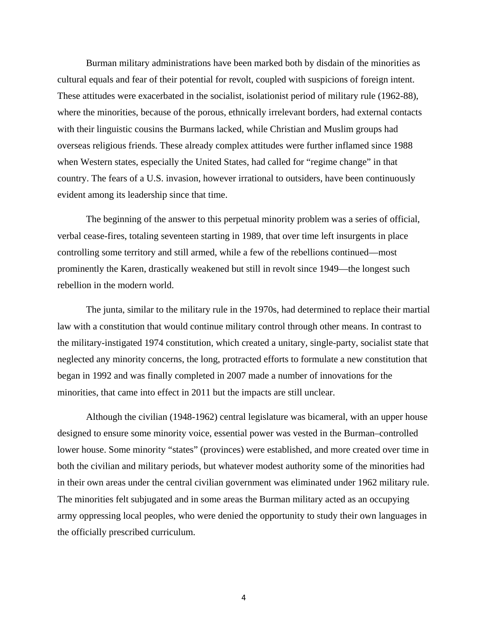Burman military administrations have been marked both by disdain of the minorities as cultural equals and fear of their potential for revolt, coupled with suspicions of foreign intent. These attitudes were exacerbated in the socialist, isolationist period of military rule (1962-88), where the minorities, because of the porous, ethnically irrelevant borders, had external contacts with their linguistic cousins the Burmans lacked, while Christian and Muslim groups had overseas religious friends. These already complex attitudes were further inflamed since 1988 when Western states, especially the United States, had called for "regime change" in that country. The fears of a U.S. invasion, however irrational to outsiders, have been continuously evident among its leadership since that time.

The beginning of the answer to this perpetual minority problem was a series of official, verbal cease-fires, totaling seventeen starting in 1989, that over time left insurgents in place controlling some territory and still armed, while a few of the rebellions continued—most prominently the Karen, drastically weakened but still in revolt since 1949—the longest such rebellion in the modern world.

 The junta, similar to the military rule in the 1970s, had determined to replace their martial law with a constitution that would continue military control through other means. In contrast to the military-instigated 1974 constitution, which created a unitary, single-party, socialist state that neglected any minority concerns, the long, protracted efforts to formulate a new constitution that began in 1992 and was finally completed in 2007 made a number of innovations for the minorities, that came into effect in 2011 but the impacts are still unclear.

Although the civilian (1948-1962) central legislature was bicameral, with an upper house designed to ensure some minority voice, essential power was vested in the Burman–controlled lower house. Some minority "states" (provinces) were established, and more created over time in both the civilian and military periods, but whatever modest authority some of the minorities had in their own areas under the central civilian government was eliminated under 1962 military rule. The minorities felt subjugated and in some areas the Burman military acted as an occupying army oppressing local peoples, who were denied the opportunity to study their own languages in the officially prescribed curriculum.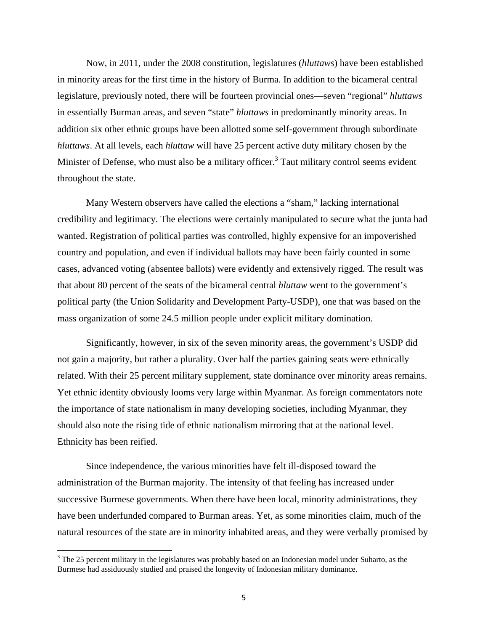Now, in 2011, under the 2008 constitution, legislatures (*hluttaws*) have been established in minority areas for the first time in the history of Burma. In addition to the bicameral central legislature, previously noted, there will be fourteen provincial ones—seven "regional" *hluttaws*  in essentially Burman areas, and seven "state" *hluttaws* in predominantly minority areas. In addition six other ethnic groups have been allotted some self-government through subordinate *hluttaws*. At all levels, each *hluttaw* will have 25 percent active duty military chosen by the Minister of Defense, who must also be a military officer.<sup>3</sup> Taut military control seems evident throughout the state.

 Many Western observers have called the elections a "sham," lacking international credibility and legitimacy. The elections were certainly manipulated to secure what the junta had wanted. Registration of political parties was controlled, highly expensive for an impoverished country and population, and even if individual ballots may have been fairly counted in some cases, advanced voting (absentee ballots) were evidently and extensively rigged. The result was that about 80 percent of the seats of the bicameral central *hluttaw* went to the government's political party (the Union Solidarity and Development Party-USDP), one that was based on the mass organization of some 24.5 million people under explicit military domination.

 Significantly, however, in six of the seven minority areas, the government's USDP did not gain a majority, but rather a plurality. Over half the parties gaining seats were ethnically related. With their 25 percent military supplement, state dominance over minority areas remains. Yet ethnic identity obviously looms very large within Myanmar. As foreign commentators note the importance of state nationalism in many developing societies, including Myanmar, they should also note the rising tide of ethnic nationalism mirroring that at the national level. Ethnicity has been reified.

 Since independence, the various minorities have felt ill-disposed toward the administration of the Burman majority. The intensity of that feeling has increased under successive Burmese governments. When there have been local, minority administrations, they have been underfunded compared to Burman areas. Yet, as some minorities claim, much of the natural resources of the state are in minority inhabited areas, and they were verbally promised by

<sup>&</sup>lt;sup>3</sup> The 25 percent military in the legislatures was probably based on an Indonesian model under Suharto, as the Burmese had assiduously studied and praised the longevity of Indonesian military dominance.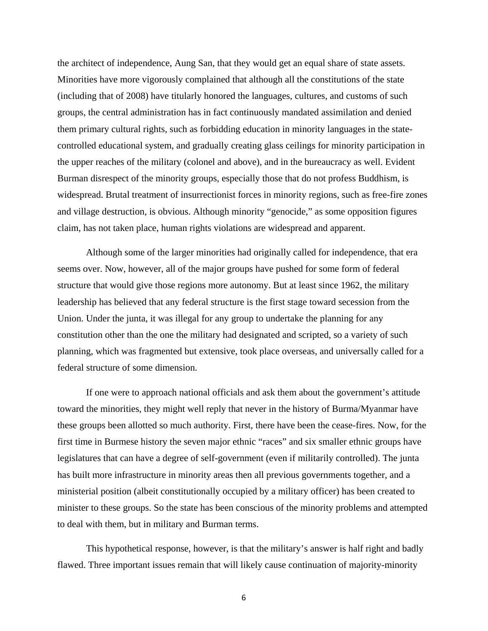the architect of independence, Aung San, that they would get an equal share of state assets. Minorities have more vigorously complained that although all the constitutions of the state (including that of 2008) have titularly honored the languages, cultures, and customs of such groups, the central administration has in fact continuously mandated assimilation and denied them primary cultural rights, such as forbidding education in minority languages in the statecontrolled educational system, and gradually creating glass ceilings for minority participation in the upper reaches of the military (colonel and above), and in the bureaucracy as well. Evident Burman disrespect of the minority groups, especially those that do not profess Buddhism, is widespread. Brutal treatment of insurrectionist forces in minority regions, such as free-fire zones and village destruction, is obvious. Although minority "genocide," as some opposition figures claim, has not taken place, human rights violations are widespread and apparent.

 Although some of the larger minorities had originally called for independence, that era seems over. Now, however, all of the major groups have pushed for some form of federal structure that would give those regions more autonomy. But at least since 1962, the military leadership has believed that any federal structure is the first stage toward secession from the Union. Under the junta, it was illegal for any group to undertake the planning for any constitution other than the one the military had designated and scripted, so a variety of such planning, which was fragmented but extensive, took place overseas, and universally called for a federal structure of some dimension.

 If one were to approach national officials and ask them about the government's attitude toward the minorities, they might well reply that never in the history of Burma/Myanmar have these groups been allotted so much authority. First, there have been the cease-fires. Now, for the first time in Burmese history the seven major ethnic "races" and six smaller ethnic groups have legislatures that can have a degree of self-government (even if militarily controlled). The junta has built more infrastructure in minority areas then all previous governments together, and a ministerial position (albeit constitutionally occupied by a military officer) has been created to minister to these groups. So the state has been conscious of the minority problems and attempted to deal with them, but in military and Burman terms.

 This hypothetical response, however, is that the military's answer is half right and badly flawed. Three important issues remain that will likely cause continuation of majority-minority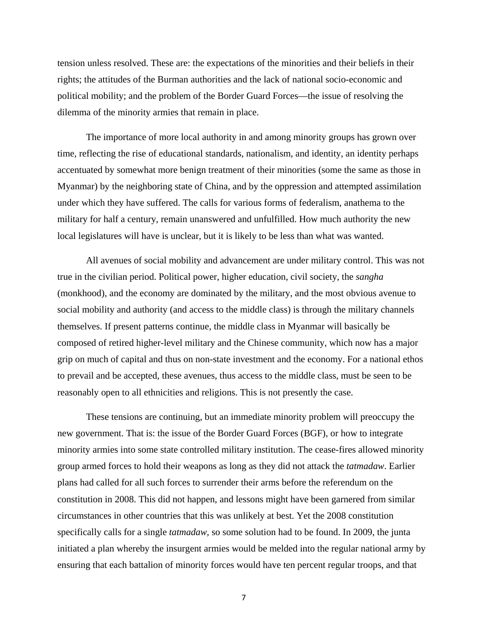tension unless resolved. These are: the expectations of the minorities and their beliefs in their rights; the attitudes of the Burman authorities and the lack of national socio-economic and political mobility; and the problem of the Border Guard Forces—the issue of resolving the dilemma of the minority armies that remain in place.

 The importance of more local authority in and among minority groups has grown over time, reflecting the rise of educational standards, nationalism, and identity, an identity perhaps accentuated by somewhat more benign treatment of their minorities (some the same as those in Myanmar) by the neighboring state of China, and by the oppression and attempted assimilation under which they have suffered. The calls for various forms of federalism, anathema to the military for half a century, remain unanswered and unfulfilled. How much authority the new local legislatures will have is unclear, but it is likely to be less than what was wanted.

 All avenues of social mobility and advancement are under military control. This was not true in the civilian period. Political power, higher education, civil society, the *sangha* (monkhood), and the economy are dominated by the military, and the most obvious avenue to social mobility and authority (and access to the middle class) is through the military channels themselves. If present patterns continue, the middle class in Myanmar will basically be composed of retired higher-level military and the Chinese community, which now has a major grip on much of capital and thus on non-state investment and the economy. For a national ethos to prevail and be accepted, these avenues, thus access to the middle class, must be seen to be reasonably open to all ethnicities and religions. This is not presently the case.

 These tensions are continuing, but an immediate minority problem will preoccupy the new government. That is: the issue of the Border Guard Forces (BGF), or how to integrate minority armies into some state controlled military institution. The cease-fires allowed minority group armed forces to hold their weapons as long as they did not attack the *tatmadaw*. Earlier plans had called for all such forces to surrender their arms before the referendum on the constitution in 2008. This did not happen, and lessons might have been garnered from similar circumstances in other countries that this was unlikely at best. Yet the 2008 constitution specifically calls for a single *tatmadaw*, so some solution had to be found. In 2009, the junta initiated a plan whereby the insurgent armies would be melded into the regular national army by ensuring that each battalion of minority forces would have ten percent regular troops, and that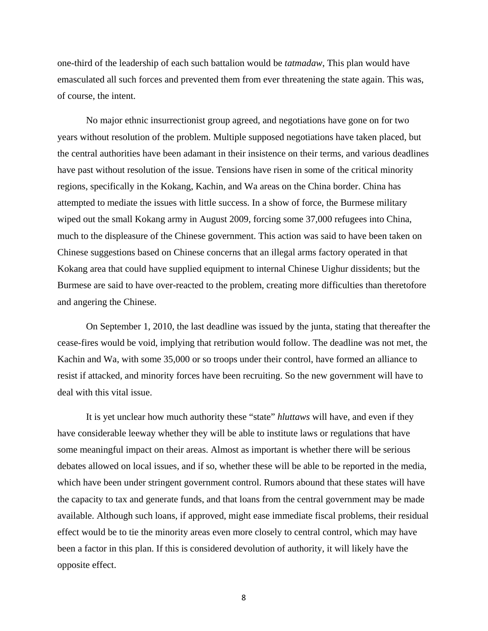one-third of the leadership of each such battalion would be *tatmadaw*, This plan would have emasculated all such forces and prevented them from ever threatening the state again. This was, of course, the intent.

 No major ethnic insurrectionist group agreed, and negotiations have gone on for two years without resolution of the problem. Multiple supposed negotiations have taken placed, but the central authorities have been adamant in their insistence on their terms, and various deadlines have past without resolution of the issue. Tensions have risen in some of the critical minority regions, specifically in the Kokang, Kachin, and Wa areas on the China border. China has attempted to mediate the issues with little success. In a show of force, the Burmese military wiped out the small Kokang army in August 2009, forcing some 37,000 refugees into China, much to the displeasure of the Chinese government. This action was said to have been taken on Chinese suggestions based on Chinese concerns that an illegal arms factory operated in that Kokang area that could have supplied equipment to internal Chinese Uighur dissidents; but the Burmese are said to have over-reacted to the problem, creating more difficulties than theretofore and angering the Chinese.

 On September 1, 2010, the last deadline was issued by the junta, stating that thereafter the cease-fires would be void, implying that retribution would follow. The deadline was not met, the Kachin and Wa, with some 35,000 or so troops under their control, have formed an alliance to resist if attacked, and minority forces have been recruiting. So the new government will have to deal with this vital issue.

 It is yet unclear how much authority these "state" *hluttaws* will have, and even if they have considerable leeway whether they will be able to institute laws or regulations that have some meaningful impact on their areas. Almost as important is whether there will be serious debates allowed on local issues, and if so, whether these will be able to be reported in the media, which have been under stringent government control. Rumors abound that these states will have the capacity to tax and generate funds, and that loans from the central government may be made available. Although such loans, if approved, might ease immediate fiscal problems, their residual effect would be to tie the minority areas even more closely to central control, which may have been a factor in this plan. If this is considered devolution of authority, it will likely have the opposite effect.